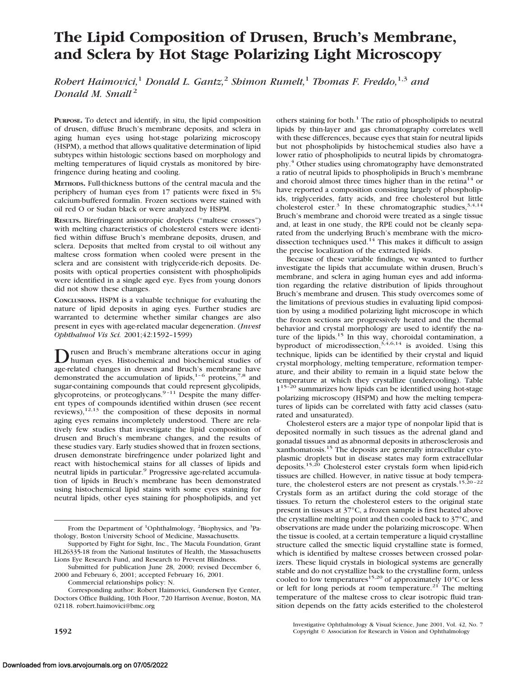# **The Lipid Composition of Drusen, Bruch's Membrane, and Sclera by Hot Stage Polarizing Light Microscopy**

*Robert Haimovici,*<sup>1</sup> *Donald L. Gantz,*<sup>2</sup> *Shimon Rumelt,*<sup>1</sup> *Thomas F. Freddo,*1,3 *and Donald M. Small* <sup>2</sup>

**PURPOSE.** To detect and identify, in situ, the lipid composition of drusen, diffuse Bruch's membrane deposits, and sclera in aging human eyes using hot-stage polarizing microscopy (HSPM), a method that allows qualitative determination of lipid subtypes within histologic sections based on morphology and melting temperatures of liquid crystals as monitored by birefringence during heating and cooling.

**METHODS.** Full-thickness buttons of the central macula and the periphery of human eyes from 17 patients were fixed in 5% calcium-buffered formalin. Frozen sections were stained with oil red O or Sudan black or were analyzed by HSPM.

**RESULTS.** Birefringent anisotropic droplets ("maltese crosses") with melting characteristics of cholesterol esters were identified within diffuse Bruch's membrane deposits, drusen, and sclera. Deposits that melted from crystal to oil without any maltese cross formation when cooled were present in the sclera and are consistent with triglyceride-rich deposits. Deposits with optical properties consistent with phospholipids were identified in a single aged eye. Eyes from young donors did not show these changes.

**CONCLUSIONS.** HSPM is a valuable technique for evaluating the nature of lipid deposits in aging eyes. Further studies are warranted to determine whether similar changes are also present in eyes with age-related macular degeneration. (*Invest Ophthalmol Vis Sci.* 2001;42:1592–1599)

**D** rusen and Bruch's membrane alterations occur in aging<br>human eyes. Histochemical and biochemical studies of age-related changes in drusen and Bruch's membrane have demonstrated the accumulation of lipids, $1-6$  proteins, $7.8$  and sugar-containing compounds that could represent glycolipids, glycoproteins, or proteoglycans. $9-11$  Despite the many different types of compounds identified within drusen (see recent reviews), $12,13$  the composition of these deposits in normal aging eyes remains incompletely understood. There are relatively few studies that investigate the lipid composition of drusen and Bruch's membrane changes, and the results of these studies vary. Early studies showed that in frozen sections, drusen demonstrate birefringence under polarized light and react with histochemical stains for all classes of lipids and neutral lipids in particular.<sup>9</sup> Progressive age-related accumulation of lipids in Bruch's membrane has been demonstrated using histochemical lipid stains with some eyes staining for neutral lipids, other eyes staining for phospholipids, and yet

Commercial relationships policy: N.

Corresponding author: Robert Haimovici, Gundersen Eye Center, Doctors Office Building, 10th Floor, 720 Harrison Avenue, Boston, MA 02118. robert.haimovici@bmc.org

others staining for both.<sup>1</sup> The ratio of phospholipids to neutral lipids by thin-layer and gas chromatography correlates well with these differences, because eyes that stain for neutral lipids but not phospholipids by histochemical studies also have a lower ratio of phospholipids to neutral lipids by chromatography.4 Other studies using chromatography have demonstrated a ratio of neutral lipids to phospholipids in Bruch's membrane and choroid almost three times higher than in the retina<sup>14</sup> or have reported a composition consisting largely of phospholipids, triglycerides, fatty acids, and free cholesterol but little cholesterol ester.<sup>3</sup> In these chromatographic studies,  $3,4,14$ Bruch's membrane and choroid were treated as a single tissue and, at least in one study, the RPE could not be cleanly separated from the underlying Bruch's membrane with the microdissection techniques used.<sup>14</sup> This makes it difficult to assign the precise localization of the extracted lipids.

Because of these variable findings, we wanted to further investigate the lipids that accumulate within drusen, Bruch's membrane, and sclera in aging human eyes and add information regarding the relative distribution of lipids throughout Bruch's membrane and drusen. This study overcomes some of the limitations of previous studies in evaluating lipid composition by using a modified polarizing light microscope in which the frozen sections are progressively heated and the thermal behavior and crystal morphology are used to identify the nature of the lipids.<sup>15</sup> In this way, choroidal contamination, a byproduct of microdissection,  $3,4,6,14$  is avoided. Using this technique, lipids can be identified by their crystal and liquid crystal morphology, melting temperature, reformation temperature, and their ability to remain in a liquid state below the temperature at which they crystallize (undercooling). Table  $1^{15-20}$  summarizes how lipids can be identified using hot-stage polarizing microscopy (HSPM) and how the melting temperatures of lipids can be correlated with fatty acid classes (saturated and unsaturated).

Cholesterol esters are a major type of nonpolar lipid that is deposited normally in such tissues as the adrenal gland and gonadal tissues and as abnormal deposits in atherosclerosis and xanthomatosis.15 The deposits are generally intracellular cytoplasmic droplets but in disease states may form extracellular deposits.<sup>15,20</sup> Cholesterol ester crystals form when lipid-rich tissues are chilled. However, in native tissue at body temperature, the cholesterol esters are not present as crystals.<sup>15,20-22</sup> Crystals form as an artifact during the cold storage of the tissues. To return the cholesterol esters to the original state present in tissues at 37°C, a frozen sample is first heated above the crystalline melting point and then cooled back to 37°C, and observations are made under the polarizing microscope. When the tissue is cooled, at a certain temperature a liquid crystalline structure called the smectic liquid crystalline state is formed, which is identified by maltese crosses between crossed polarizers. These liquid crystals in biological systems are generally stable and do not crystallize back to the crystalline form, unless cooled to low temperatures<sup>15,20</sup> of approximately  $10^{\circ}$ C or less or left for long periods at room temperature.<sup>21</sup> The melting temperature of the maltese cross to clear isotropic fluid transition depends on the fatty acids esterified to the cholesterol

Investigative Ophthalmology & Visual Science, June 2001, Vol. 42, No. 7 **1592** Copyright © Association for Research in Vision and Ophthalmology

From the Department of <sup>1</sup>Ophthalmology, <sup>2</sup>Biophysics, and <sup>3</sup>Pathology, Boston University School of Medicine, Massachusetts.

Supported by Fight for Sight, Inc., The Macula Foundation, Grant HL26335-18 from the National Institutes of Health, the Massachusetts Lions Eye Research Fund, and Research to Prevent Blindness.

Submitted for publication June 28, 2000; revised December 6, 2000 and February 6, 2001; accepted February 16, 2001.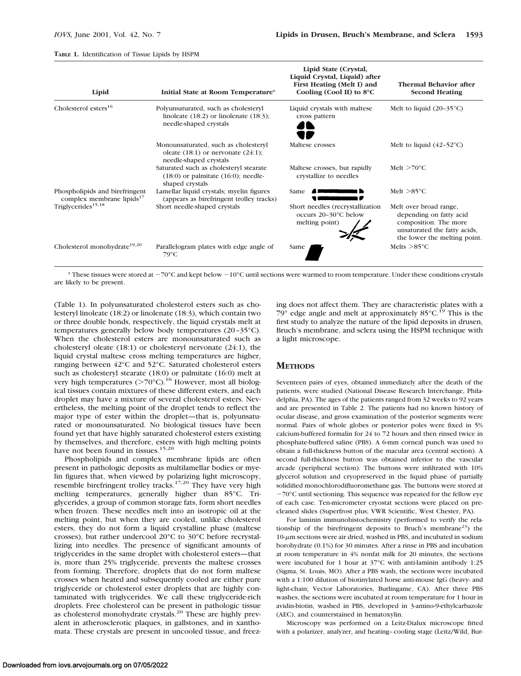#### **TABLE 1.** Identification of Tissue Lipids by HSPM

| Lipid                                                                   | Initial State at Room Temperature*                                                                            | Lipid State (Crystal,<br>Liquid Crystal, Liquid) after<br>First Heating (Melt I) and<br>Cooling (Cool II) to $8^{\circ}$ C | Thermal Behavior after<br><b>Second Heating</b>                                                                                            |
|-------------------------------------------------------------------------|---------------------------------------------------------------------------------------------------------------|----------------------------------------------------------------------------------------------------------------------------|--------------------------------------------------------------------------------------------------------------------------------------------|
| Cholesterol esters <sup>16</sup>                                        | Polyunsaturated, such as cholesteryl<br>linoleate $(18:2)$ or linolenate $(18:3)$ ;<br>needle-shaped crystals | Liquid crystals with maltese<br>cross pattern                                                                              | Melt to liquid $(20-35^{\circ}C)$                                                                                                          |
|                                                                         | Monounsaturated, such as cholesteryl<br>oleate $(18.1)$ or nervonate $(24.1)$ ;<br>needle-shaped crystals     | Maltese crosses                                                                                                            | Melt to liquid $(42-52^{\circ}C)$                                                                                                          |
|                                                                         | Saturated such as cholesteryl stearate<br>$(18:0)$ or palmitate $(16:0)$ ; needle-<br>shaped crystals         | Maltese crosses, but rapidly<br>crystallize to needles                                                                     | Melt $>70^{\circ}$ C                                                                                                                       |
| Phospholipids and birefringent<br>complex membrane lipids <sup>17</sup> | Lamellar liquid crystals; myelin figures<br>(appears as birefringent trolley tracks)                          | Same                                                                                                                       | Melt $>85^{\circ}$ C                                                                                                                       |
| Triglycerides <sup>15,18</sup>                                          | Short needle-shaped crystals                                                                                  | Short needles (recrystallization<br>occurs 20-30°C below<br>melting point)                                                 | Melt over broad range,<br>depending on fatty acid<br>composition. The more<br>unsaturated the fatty acids,<br>the lower the melting point. |
| Cholesterol monohydrate <sup>19,20</sup>                                | Parallelogram plates with edge angle of<br>$79^{\circ}C$                                                      | Same                                                                                                                       | Melts $>85^{\circ}$ C                                                                                                                      |

 $*$  These tissues were stored at  $-70^{\circ}$ C and kept below  $-10^{\circ}$ C until sections were warmed to room temperature. Under these conditions crystals are likely to be present.

(Table 1). In polyunsaturated cholesterol esters such as cholesteryl linoleate (18:2) or linolenate (18:3), which contain two or three double bonds, respectively, the liquid crystals melt at temperatures generally below body temperatures (20–35°C). When the cholesterol esters are monounsaturated such as cholesteryl oleate (18:1) or cholesteryl nervonate (24:1), the liquid crystal maltese cross melting temperatures are higher, ranging between 42°C and 52°C. Saturated cholesterol esters such as cholesteryl stearate (18:0) or palmitate (16:0) melt at very high temperatures ( $>70^{\circ}$ C).<sup>16</sup> However, most all biological tissues contain mixtures of these different esters, and each droplet may have a mixture of several cholesterol esters. Nevertheless, the melting point of the droplet tends to reflect the major type of ester within the droplet—that is, polyunsaturated or monounsaturated. No biological tissues have been found yet that have highly saturated cholesterol esters existing by themselves, and therefore, esters with high melting points have not been found in tissues.<sup>15,20</sup>

Phospholipids and complex membrane lipids are often present in pathologic deposits as multilamellar bodies or myelin figures that, when viewed by polarizing light microscopy, resemble birefringent trolley tracks.<sup>17,20</sup> They have very high melting temperatures, generally higher than 85°C. Triglycerides, a group of common storage fats, form short needles when frozen. These needles melt into an isotropic oil at the melting point, but when they are cooled, unlike cholesterol esters, they do not form a liquid crystalline phase (maltese crosses), but rather undercool 20°C to 30°C before recrystallizing into needles. The presence of significant amounts of triglycerides in the same droplet with cholesterol esters—that is, more than 25% triglyceride, prevents the maltese crosses from forming. Therefore, droplets that do not form maltese crosses when heated and subsequently cooled are either pure triglyceride or cholesterol ester droplets that are highly contaminated with triglycerides. We call these triglyceride-rich droplets. Free cholesterol can be present in pathologic tissue as cholesterol monohydrate crystals.20 These are highly prevalent in atherosclerotic plaques, in gallstones, and in xanthomata. These crystals are present in uncooled tissue, and freez-

ing does not affect them. They are characteristic plates with a 79 $^{\circ}$  edge angle and melt at approximately 85 $^{\circ}$ C.<sup>19</sup> This is the first study to analyze the nature of the lipid deposits in drusen, Bruch's membrane, and sclera using the HSPM technique with a light microscope.

## **METHODS**

Seventeen pairs of eyes, obtained immediately after the death of the patients, were studied (National Disease Research Interchange, Philadelphia, PA). The ages of the patients ranged from 32 weeks to 92 years and are presented in Table 2. The patients had no known history of ocular disease, and gross examination of the posterior segments were normal. Pairs of whole globes or posterior poles were fixed in 5% calcium-buffered formalin for 24 to 72 hours and then rinsed twice in phosphate-buffered saline (PBS). A 6-mm corneal punch was used to obtain a full-thickness button of the macular area (central section). A second full-thickness button was obtained inferior to the vascular arcade (peripheral section). The buttons were infiltrated with 10% glycerol solution and cryopreserved in the liquid phase of partially solidified monochlorodifluoromethane gas. The buttons were stored at  $-70^{\circ}$ C until sectioning. This sequence was repeated for the fellow eye of each case. Ten-micrometer cryostat sections were placed on precleaned slides (Superfrost plus; VWR Scientific, West Chester, PA).

For laminin immunohistochemistry (performed to verify the relationship of the birefringent deposits to Bruch's membrane<sup>23</sup>) the 10-um sections were air dried, washed in PBS, and incubated in sodium borohydrate (0.1%) for 30 minutes. After a rinse in PBS and incubation at room temperature in 4% nonfat milk for 20 minutes, the sections were incubated for 1 hour at 37°C with anti-laminin antibody 1:25 (Sigma, St. Louis, MO). After a PBS wash, the sections were incubated with a 1:100 dilution of biotinylated horse anti-mouse IgG (heavy- and light-chain; Vector Laboratories, Burlingame, CA). After three PBS washes, the sections were incubated at room temperature for 1 hour in avidin-biotin, washed in PBS, developed in 3-amino-9-ethylcarbazole (AEC), and counterstained in hematoxylin.

Microscopy was performed on a Leitz-Dialux microscope fitted with a polarizer, analyzer, and heating–cooling stage (Leitz/Wild, Bur-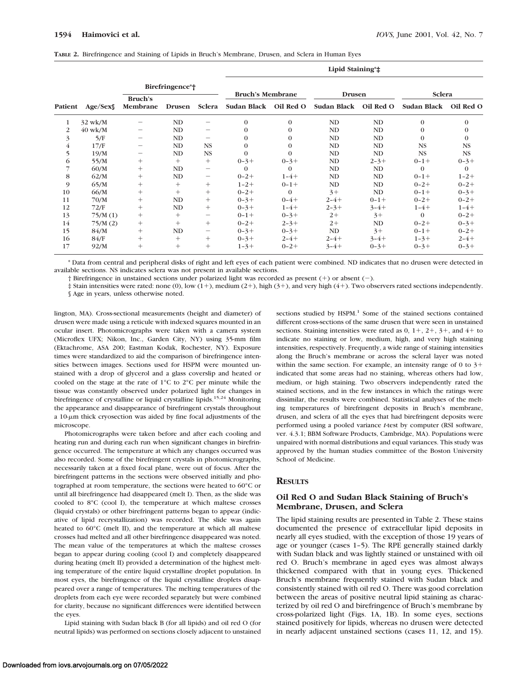|  | TABLE 2. Birefringence and Staining of Lipids in Bruch's Membrane, Drusen, and Sclera in Human Eyes |  |  |  |  |  |  |  |  |  |  |  |  |
|--|-----------------------------------------------------------------------------------------------------|--|--|--|--|--|--|--|--|--|--|--|--|
|--|-----------------------------------------------------------------------------------------------------|--|--|--|--|--|--|--|--|--|--|--|--|

|                |           |                            |        |                                       |                         |           | Lipid Staining*‡ |           |                       |              |  |
|----------------|-----------|----------------------------|--------|---------------------------------------|-------------------------|-----------|------------------|-----------|-----------------------|--------------|--|
|                |           | Birefringence*†            |        |                                       | <b>Bruch's Membrane</b> |           | <b>Drusen</b>    |           | Sclera                |              |  |
| Patient        | Age/Sex   | <b>Bruch's</b><br>Membrane | Drusen | Sclera                                | Sudan Black Oil Red O   |           | Sudan Black      | Oil Red O | Sudan Black Oil Red O |              |  |
| 1              | $32$ wk/M |                            | ND     |                                       | $\Omega$                | $\Omega$  | ND               | ND        | $\theta$              | $\Omega$     |  |
| $\overline{2}$ | $40$ wk/M | -                          | ND     | $\qquad \qquad$                       | $\Omega$                | $\Omega$  | ND               | ND        | 0                     | $\mathbf{0}$ |  |
| 3              | 5/F       |                            | ND     | -                                     | $\Omega$                | $\Omega$  | <b>ND</b>        | ND        | $\theta$              | $\Omega$     |  |
| $\overline{4}$ | 17/F      | $\qquad \qquad$            | ND     | <b>NS</b>                             | $\Omega$                | $\Omega$  | ND               | ND        | <b>NS</b>             | <b>NS</b>    |  |
| 5              | 19/M      | -                          | ND     | <b>NS</b>                             | $\Omega$                | $\Omega$  | <b>ND</b>        | ND        | <b>NS</b>             | <b>NS</b>    |  |
| 6              | 55/M      | $^{+}$                     | $^{+}$ | $^{+}$                                | $0 - 3 +$               | $0 - 3 +$ | ND               | $2 - 3 +$ | $0 - 1 +$             | $0 - 3 +$    |  |
|                | 60/M      | $^{+}$                     | ND     | $\hspace{1.0cm} \rule{1.5cm}{0.15cm}$ | $\Omega$                | $\Omega$  | ND               | ND        | $\Omega$              | $\Omega$     |  |
| 8              | 62/M      | $^{+}$                     | ND     | $\qquad \qquad -$                     | $0 - 2 +$               | $1 - 4 +$ | <b>ND</b>        | ND        | $0 - 1 +$             | $1 - 2 +$    |  |
| 9              | 65/M      | $^{+}$                     | $^{+}$ | $^{+}$                                | $1 - 2 +$               | $0 - 1 +$ | ND               | ND        | $0 - 2 +$             | $0 - 2 +$    |  |
| 10             | 66/M      | $^{+}$                     | $^{+}$ | $^{+}$                                | $0 - 2 +$               | $\Omega$  | $3+$             | ND        | $0 - 1 +$             | $0 - 3 +$    |  |
| 11             | 70/M      | $^{+}$                     | ND     | $^{+}$                                | $0 - 3 +$               | $0 - 4 +$ | $2 - 4 +$        | $0 - 1 +$ | $0 - 2 +$             | $0 - 2 +$    |  |
| 12             | 72/F      | $^{+}$                     | ND     | $^{+}$                                | $0 - 3 +$               | $1 - 4 +$ | $2 - 3 +$        | $3 - 4 +$ | $1 - 4 +$             | $1 - 4 +$    |  |
| 13             | 75/M(1)   | $^{+}$                     | $^{+}$ | $\qquad \qquad -$                     | $0 - 1 +$               | $0 - 3 +$ | $2+$             | $3+$      | $\Omega$              | $0 - 2 +$    |  |
| 14             | 75/M(2)   | $^{+}$                     | $^{+}$ | $^{+}$                                | $0 - 2 +$               | $2 - 3 +$ | $2+$             | ND        | $0 - 2 +$             | $0 - 3 +$    |  |
| 15             | 84/M      | $^{+}$                     | ND     | $\overline{\phantom{m}}$              | $0 - 3 +$               | $0 - 3 +$ | ND               | $3+$      | $0 - 1 +$             | $0 - 2 +$    |  |
| 16             | 84/F      | $^{+}$                     | $^{+}$ | $^{+}$                                | $0 - 3 +$               | $2 - 4 +$ | $2 - 4 +$        | $3 - 4 +$ | $1 - 3 +$             | $2 - 4 +$    |  |
| 17             | 92/M      | $^{+}$                     | $^{+}$ | $^{+}$                                | $1 - 3 +$               | $0 - 2 +$ | $3 - 4 +$        | $0 - 3 +$ | $0 - 3 +$             | $0 - 3 +$    |  |

\* Data from central and peripheral disks of right and left eyes of each patient were combined. ND indicates that no drusen were detected in available sections. NS indicates sclera was not present in available sections.

† Birefringence in unstained sections under polarized light was recorded as present (1) or absent (2).

‡ Stain intensities were rated: none (0), low (11), medium (21), high (31), and very high (41). Two observers rated sections independently.

§ Age in years, unless otherwise noted.

lington, MA). Cross-sectional measurements (height and diameter) of drusen were made using a reticule with indexed squares mounted in an ocular insert. Photomicrographs were taken with a camera system (Microflex UFX; Nikon, Inc., Garden City, NY) using 35-mm film (Ektachrome, ASA 200; Eastman Kodak, Rochester, NY). Exposure times were standardized to aid the comparison of birefringence intensities between images. Sections used for HSPM were mounted unstained with a drop of glycerol and a glass coverslip and heated or cooled on the stage at the rate of 1°C to 2°C per minute while the tissue was constantly observed under polarized light for changes in birefringence of crystalline or liquid crystalline lipids.<sup>15,24</sup> Monitoring the appearance and disappearance of birefringent crystals throughout a 10-um thick cryosection was aided by fine focal adjustments of the microscope.

Photomicrographs were taken before and after each cooling and heating run and during each run when significant changes in birefringence occurred. The temperature at which any changes occurred was also recorded. Some of the birefringent crystals in photomicrographs, necessarily taken at a fixed focal plane, were out of focus. After the birefringent patterns in the sections were observed initially and photographed at room temperature, the sections were heated to 60°C or until all birefringence had disappeared (melt I). Then, as the slide was cooled to 8°C (cool I), the temperature at which maltese crosses (liquid crystals) or other birefringent patterns began to appear (indicative of lipid recrystallization) was recorded. The slide was again heated to 60°C (melt II), and the temperature at which all maltese crosses had melted and all other birefringence disappeared was noted. The mean value of the temperatures at which the maltese crosses began to appear during cooling (cool I) and completely disappeared during heating (melt II) provided a determination of the highest melting temperature of the entire liquid crystalline droplet population. In most eyes, the birefringence of the liquid crystalline droplets disappeared over a range of temperatures. The melting temperatures of the droplets from each eye were recorded separately but were combined for clarity, because no significant differences were identified between the eyes.

Lipid staining with Sudan black B (for all lipids) and oil red O (for neutral lipids) was performed on sections closely adjacent to unstained

sections studied by HSPM.<sup>1</sup> Some of the stained sections contained different cross-sections of the same drusen that were seen in unstained sections. Staining intensities were rated as  $0, 1+, 2+, 3+,$  and  $4+$  to indicate no staining or low, medium, high, and very high staining intensities, respectively. Frequently, a wide range of staining intensities along the Bruch's membrane or across the scleral layer was noted within the same section. For example, an intensity range of 0 to  $3+$ indicated that some areas had no staining, whereas others had low, medium, or high staining. Two observers independently rated the stained sections, and in the few instances in which the ratings were dissimilar, the results were combined. Statistical analyses of the melting temperatures of birefringent deposits in Bruch's membrane, drusen, and sclera of all the eyes that had birefringent deposits were performed using a pooled variance *t*-test by computer (RSI software, ver. 4.3.1; BBM Software Products, Cambridge, MA). Populations were unpaired with normal distributions and equal variances. This study was approved by the human studies committee of the Boston University School of Medicine.

# **RESULTS**

# **Oil Red O and Sudan Black Staining of Bruch's Membrane, Drusen, and Sclera**

The lipid staining results are presented in Table 2. These stains documented the presence of extracellular lipid deposits in nearly all eyes studied, with the exception of those 19 years of age or younger (cases 1–5). The RPE generally stained darkly with Sudan black and was lightly stained or unstained with oil red O. Bruch's membrane in aged eyes was almost always thickened compared with that in young eyes. Thickened Bruch's membrane frequently stained with Sudan black and consistently stained with oil red O. There was good correlation between the areas of positive neutral lipid staining as characterized by oil red O and birefringence of Bruch's membrane by cross-polarized light (Figs. 1A, 1B). In some eyes, sections stained positively for lipids, whereas no drusen were detected in nearly adjacent unstained sections (cases 11, 12, and 15).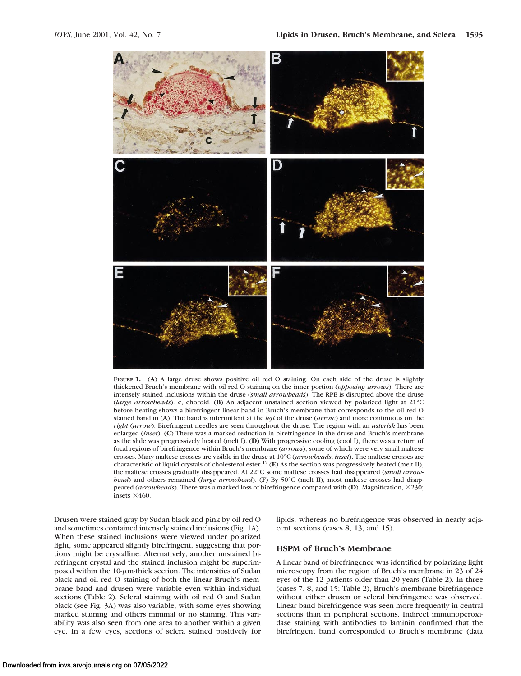

**FIGURE 1.** (**A**) A large druse shows positive oil red O staining. On each side of the druse is slightly thickened Bruch's membrane with oil red O staining on the inner portion (*opposing arrows*). There are intensely stained inclusions within the druse (*small arrowheads*). The RPE is disrupted above the druse (*large arrowheads*). c, choroid. (**B**) An adjacent unstained section viewed by polarized light at 21°C before heating shows a birefringent linear band in Bruch's membrane that corresponds to the oil red O stained band in (**A**). The band is intermittent at the *left* of the druse (*arrow*) and more continuous on the *right* (*arrow*). Birefringent needles are seen throughout the druse. The region with an *asterisk* has been enlarged (*inset*). (**C**) There was a marked reduction in birefringence in the druse and Bruch's membrane as the slide was progressively heated (melt I). (**D**) With progressive cooling (cool I), there was a return of focal regions of birefringence within Bruch's membrane (*arrows*), some of which were very small maltese crosses. Many maltese crosses are visible in the druse at 10°C (*arrowheads*, *inset*). The maltese crosses are characteristic of liquid crystals of cholesterol ester.15 (**E**) As the section was progressively heated (melt II), the maltese crosses gradually disappeared. At 22°C some maltese crosses had disappeared (*small arrowhead*) and others remained (*large arrowhead*). (**F**) By 50°C (melt II), most maltese crosses had disappeared (*arrowheads*). There was a marked loss of birefringence compared with (**D**). Magnification, 3230; insets  $\times$ 460.

Drusen were stained gray by Sudan black and pink by oil red O and sometimes contained intensely stained inclusions (Fig. 1A). When these stained inclusions were viewed under polarized light, some appeared slightly birefringent, suggesting that portions might be crystalline. Alternatively, another unstained birefringent crystal and the stained inclusion might be superimposed within the  $10$ - $\mu$ m-thick section. The intensities of Sudan black and oil red O staining of both the linear Bruch's membrane band and drusen were variable even within individual sections (Table 2). Scleral staining with oil red O and Sudan black (see Fig. 3A) was also variable, with some eyes showing marked staining and others minimal or no staining. This variability was also seen from one area to another within a given eye. In a few eyes, sections of sclera stained positively for

lipids, whereas no birefringence was observed in nearly adjacent sections (cases 8, 13, and 15).

# **HSPM of Bruch's Membrane**

A linear band of birefringence was identified by polarizing light microscopy from the region of Bruch's membrane in 23 of 24 eyes of the 12 patients older than 20 years (Table 2). In three (cases 7, 8, and 15; Table 2), Bruch's membrane birefringence without either drusen or scleral birefringence was observed. Linear band birefringence was seen more frequently in central sections than in peripheral sections. Indirect immunoperoxidase staining with antibodies to laminin confirmed that the birefringent band corresponded to Bruch's membrane (data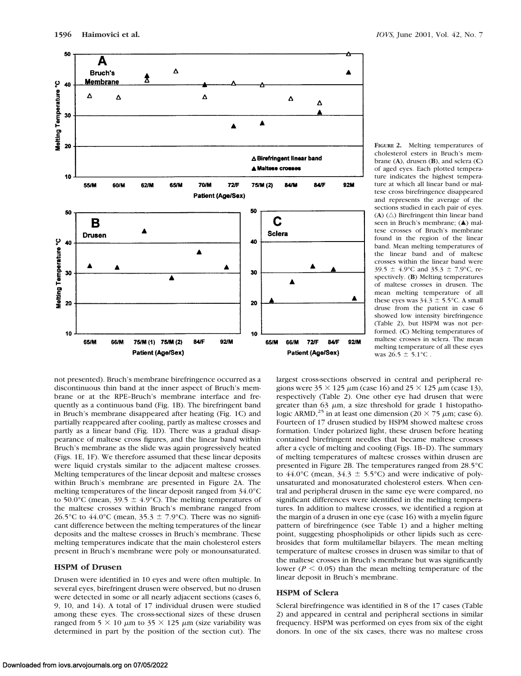



**FIGURE 2.** Melting temperatures of cholesterol esters in Bruch's membrane (**A**), drusen (**B**), and sclera (**C**) of aged eyes. Each plotted temperature indicates the highest temperature at which all linear band or maltese cross birefringence disappeared and represents the average of the sections studied in each pair of eyes.  $(A)$   $(\triangle)$  Birefringent thin linear band seen in Bruch's membrane; (A) maltese crosses of Bruch's membrane found in the region of the linear band. Mean melting temperatures of the linear band and of maltese crosses within the linear band were 39.5  $\pm$  4.9°C and 35.3  $\pm$  7.9°C, respectively. (**B**) Melting temperatures of maltese crosses in drusen. The mean melting temperature of all these eyes was  $34.3 \pm 5.5$ °C. A small druse from the patient in case 6 showed low intensity birefringence (Table 2), but HSPM was not performed. (**C**) Melting temperatures of maltese crosses in sclera. The mean melting temperature of all these eyes was  $26.5 \pm 5.1^{\circ}$ C.

not presented). Bruch's membrane birefringence occurred as a discontinuous thin band at the inner aspect of Bruch's membrane or at the RPE–Bruch's membrane interface and frequently as a continuous band (Fig. 1B). The birefringent band in Bruch's membrane disappeared after heating (Fig. 1C) and partially reappeared after cooling, partly as maltese crosses and partly as a linear band (Fig. 1D). There was a gradual disappearance of maltese cross figures, and the linear band within Bruch's membrane as the slide was again progressively heated (Figs. 1E, 1F). We therefore assumed that these linear deposits were liquid crystals similar to the adjacent maltese crosses. Melting temperatures of the linear deposit and maltese crosses within Bruch's membrane are presented in Figure 2A. The melting temperatures of the linear deposit ranged from 34.0°C to 50.0°C (mean, 39.5  $\pm$  4.9°C). The melting temperatures of the maltese crosses within Bruch's membrane ranged from 26.5°C to 44.0°C (mean, 35.3  $\pm$  7.9°C). There was no significant difference between the melting temperatures of the linear deposits and the maltese crosses in Bruch's membrane. These melting temperatures indicate that the main cholesterol esters present in Bruch's membrane were poly or monounsaturated.

## **HSPM of Drusen**

Drusen were identified in 10 eyes and were often multiple. In several eyes, birefringent drusen were observed, but no drusen were detected in some or all nearly adjacent sections (cases 6, 9, 10, and 14). A total of 17 individual drusen were studied among these eyes. The cross-sectional sizes of these drusen ranged from 5  $\times$  10  $\mu$ m to 35  $\times$  125  $\mu$ m (size variability was determined in part by the position of the section cut). The

largest cross-sections observed in central and peripheral regions were  $35 \times 125 \mu m$  (case 16) and  $25 \times 125 \mu m$  (case 13), respectively (Table 2). One other eye had drusen that were greater than 63  $\mu$ m, a size threshold for grade 1 histopathologic ARMD,<sup>25</sup> in at least one dimension (20  $\times$  75  $\mu$ m; case 6). Fourteen of 17 drusen studied by HSPM showed maltese cross formation. Under polarized light, these drusen before heating contained birefringent needles that became maltese crosses after a cycle of melting and cooling (Figs. 1B–D). The summary of melting temperatures of maltese crosses within drusen are presented in Figure 2B. The temperatures ranged from 28.5°C to  $44.0^{\circ}$ C (mean,  $34.3 \pm 5.5^{\circ}$ C) and were indicative of polyunsaturated and monosaturated cholesterol esters. When central and peripheral drusen in the same eye were compared, no significant differences were identified in the melting temperatures. In addition to maltese crosses, we identified a region at the margin of a drusen in one eye (case 16) with a myelin figure pattern of birefringence (see Table 1) and a higher melting point, suggesting phospholipids or other lipids such as cerebrosides that form multilamellar bilayers. The mean melting temperature of maltese crosses in drusen was similar to that of the maltese crosses in Bruch's membrane but was significantly lower ( $P < 0.05$ ) than the mean melting temperature of the linear deposit in Bruch's membrane.

## **HSPM of Sclera**

Scleral birefringence was identified in 8 of the 17 cases (Table 2) and appeared in central and peripheral sections in similar frequency. HSPM was performed on eyes from six of the eight donors. In one of the six cases, there was no maltese cross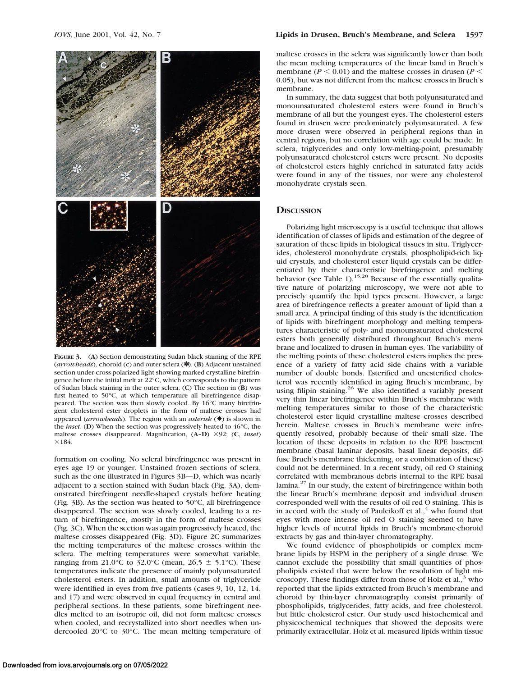

**FIGURE 3.** (**A**) Section demonstrating Sudan black staining of the RPE (*arrowheads*), choroid (c) and outer sclera (✽). (**B**) Adjacent unstained section under cross-polarized light showing marked crystalline birefringence before the initial melt at 22°C, which corresponds to the pattern of Sudan black staining in the outer sclera. (**C**) The section in (**B**) was first heated to 50°C, at which temperature all birefringence disappeared. The section was then slowly cooled. By 16°C many birefringent cholesterol ester droplets in the form of maltese crosses had appeared (*arrowheads*). The region with an *asterisk* (✸) is shown in the *inset*. (**D**) When the section was progressively heated to 46°C, the maltese crosses disappeared. Magnification, (**A**–**D**) 392; (**C**, *inset*)  $×184.$ 

formation on cooling. No scleral birefringence was present in eyes age 19 or younger. Unstained frozen sections of sclera, such as the one illustrated in Figures 3B—D, which was nearly adjacent to a section stained with Sudan black (Fig. 3A), demonstrated birefringent needle-shaped crystals before heating (Fig. 3B). As the section was heated to 50°C, all birefringence disappeared. The section was slowly cooled, leading to a return of birefringence, mostly in the form of maltese crosses (Fig. 3C). When the section was again progressively heated, the maltese crosses disappeared (Fig. 3D). Figure 2C summarizes the melting temperatures of the maltese crosses within the sclera. The melting temperatures were somewhat variable, ranging from 21.0°C to 32.0°C (mean, 26.5  $\pm$  5.1°C). These temperatures indicate the presence of mainly polyunsaturated cholesterol esters. In addition, small amounts of triglyceride were identified in eyes from five patients (cases 9, 10, 12, 14, and 17) and were observed in equal frequency in central and peripheral sections. In these patients, some birefringent needles melted to an isotropic oil, did not form maltese crosses when cooled, and recrystallized into short needles when undercooled 20°C to 30°C. The mean melting temperature of

maltese crosses in the sclera was significantly lower than both the mean melting temperatures of the linear band in Bruch's membrane ( $P < 0.01$ ) and the maltese crosses in drusen ( $P <$ 0.05), but was not different from the maltese crosses in Bruch's membrane.

In summary, the data suggest that both polyunsaturated and monounsaturated cholesterol esters were found in Bruch's membrane of all but the youngest eyes. The cholesterol esters found in drusen were predominately polyunsaturated. A few more drusen were observed in peripheral regions than in central regions, but no correlation with age could be made. In sclera, triglycerides and only low-melting-point, presumably polyunsaturated cholesterol esters were present. No deposits of cholesterol esters highly enriched in saturated fatty acids were found in any of the tissues, nor were any cholesterol monohydrate crystals seen.

#### **DISCUSSION**

Polarizing light microscopy is a useful technique that allows identification of classes of lipids and estimation of the degree of saturation of these lipids in biological tissues in situ. Triglycerides, cholesterol monohydrate crystals, phospholipid-rich liquid crystals, and cholesterol ester liquid crystals can be differentiated by their characteristic birefringence and melting behavior (see Table 1).<sup>15,20</sup> Because of the essentially qualitative nature of polarizing microscopy, we were not able to precisely quantify the lipid types present. However, a large area of birefringence reflects a greater amount of lipid than a small area. A principal finding of this study is the identification of lipids with birefringent morphology and melting temperatures characteristic of poly- and monounsaturated cholesterol esters both generally distributed throughout Bruch's membrane and localized to drusen in human eyes. The variability of the melting points of these cholesterol esters implies the presence of a variety of fatty acid side chains with a variable number of double bonds. Esterified and unesterified cholesterol was recently identified in aging Bruch's membrane, by using filipin staining.<sup>26</sup> We also identified a variably present very thin linear birefringence within Bruch's membrane with melting temperatures similar to those of the characteristic cholesterol ester liquid crystalline maltese crosses described herein. Maltese crosses in Bruch's membrane were infrequently resolved, probably because of their small size. The location of these deposits in relation to the RPE basement membrane (basal laminar deposits, basal linear deposits, diffuse Bruch's membrane thickening, or a combination of these) could not be determined. In a recent study, oil red O staining correlated with membranous debris internal to the RPE basal lamina.<sup>27</sup> In our study, the extent of birefringence within both the linear Bruch's membrane deposit and individual drusen corresponded well with the results of oil red O staining. This is in accord with the study of Pauleikoff et al., $4$  who found that eyes with more intense oil red O staining seemed to have higher levels of neutral lipids in Bruch's membrane-choroid extracts by gas and thin-layer chromatography.

We found evidence of phospholipids or complex membrane lipids by HSPM in the periphery of a single druse. We cannot exclude the possibility that small quantities of phospholipids existed that were below the resolution of light microscopy. These findings differ from those of Holz et al., $3 \text{ who}$ reported that the lipids extracted from Bruch's membrane and choroid by thin-layer chromatography consist primarily of phospholipids, triglycerides, fatty acids, and free cholesterol, but little cholesterol ester. Our study used histochemical and physicochemical techniques that showed the deposits were primarily extracellular. Holz et al. measured lipids within tissue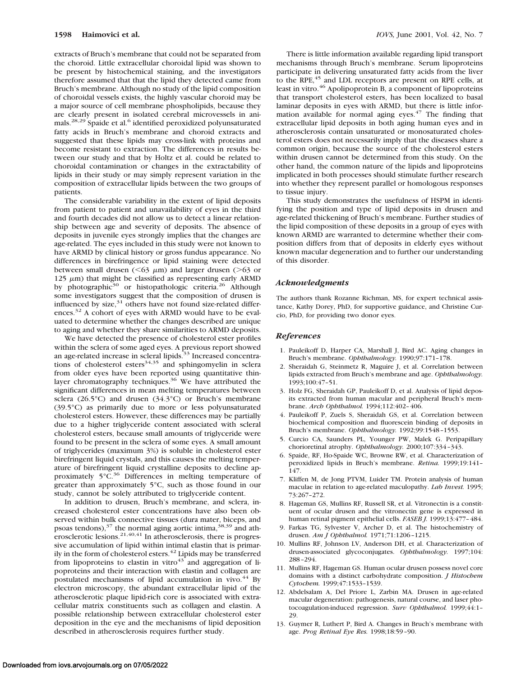extracts of Bruch's membrane that could not be separated from the choroid. Little extracellular choroidal lipid was shown to be present by histochemical staining, and the investigators therefore assumed that that the lipid they detected came from Bruch's membrane. Although no study of the lipid composition of choroidal vessels exists, the highly vascular choroid may be a major source of cell membrane phospholipids, because they are clearly present in isolated cerebral microvessels in animals.<sup>28,29</sup> Spaide et al.<sup>6</sup> identified peroxidized polyunsaturated fatty acids in Bruch's membrane and choroid extracts and suggested that these lipids may cross-link with proteins and become resistant to extraction. The differences in results between our study and that by Holtz et al. could be related to choroidal contamination or changes in the extractability of lipids in their study or may simply represent variation in the composition of extracellular lipids between the two groups of patients.

The considerable variability in the extent of lipid deposits from patient to patient and unavailability of eyes in the third and fourth decades did not allow us to detect a linear relationship between age and severity of deposits. The absence of deposits in juvenile eyes strongly implies that the changes are age-related. The eyes included in this study were not known to have ARMD by clinical history or gross fundus appearance. No differences in birefringence or lipid staining were detected between small drusen ( $\leq 63 \mu$ m) and larger drusen ( $\geq 63$  or 125  $\mu$ m) that might be classified as representing early ARMD by photographic<sup>30</sup> or histopathologic criteria.<sup>26</sup> Although some investigators suggest that the composition of drusen is influenced by  $size$ , $31$  others have not found size-related differences.<sup>32</sup> A cohort of eyes with ARMD would have to be evaluated to determine whether the changes described are unique to aging and whether they share similarities to ARMD deposits.

We have detected the presence of cholesterol ester profiles within the sclera of some aged eyes. A previous report showed an age-related increase in scleral lipids.<sup>33</sup> Increased concentrations of cholesterol esters $34,35$  and sphingomyelin in sclera from older eyes have been reported using quantitative thinlayer chromatography techniques.<sup>36</sup> We have attributed the significant differences in mean melting temperatures between sclera (26.5°C) and drusen (34.3°C) or Bruch's membrane (39.5°C) as primarily due to more or less polyunsaturated cholesterol esters. However, these differences may be partially due to a higher triglyceride content associated with scleral cholesterol esters, because small amounts of triglyceride were found to be present in the sclera of some eyes. A small amount of triglycerides (maximum 3%) is soluble in cholesterol ester birefringent liquid crystals, and this causes the melting temperature of birefringent liquid crystalline deposits to decline approximately  $5^{\circ}$ C.<sup>36</sup> Differences in melting temperature of greater than approximately 5°C, such as those found in our study, cannot be solely attributed to triglyceride content.

In addition to drusen, Bruch's membrane, and sclera, increased cholesterol ester concentrations have also been observed within bulk connective tissues (dura mater, biceps, and psoas tendons),<sup>37</sup> the normal aging aortic intima,<sup>38,39</sup> and atherosclerotic lesions.<sup>21,40,41</sup> In atherosclerosis, there is progressive accumulation of lipid within intimal elastin that is primarily in the form of cholesterol esters.<sup>42</sup> Lipids may be transferred from lipoproteins to elastin in vitro $43$  and aggregation of lipoproteins and their interaction with elastin and collagen are postulated mechanisms of lipid accumulation in vivo.<sup>44</sup> By electron microscopy, the abundant extracellular lipid of the atherosclerotic plaque lipid-rich core is associated with extracellular matrix constituents such as collagen and elastin. A possible relationship between extracellular cholesterol ester deposition in the eye and the mechanisms of lipid deposition described in atherosclerosis requires further study.

There is little information available regarding lipid transport mechanisms through Bruch's membrane. Serum lipoproteins participate in delivering unsaturated fatty acids from the liver to the RPE,<sup>45</sup> and LDL receptors are present on RPE cells, at least in vitro.<sup>46</sup> Apolipoprotein B, a component of lipoproteins that transport cholesterol esters, has been localized to basal laminar deposits in eyes with ARMD, but there is little information available for normal aging eyes. $47$  The finding that extracellular lipid deposits in both aging human eyes and in atherosclerosis contain unsaturated or monosaturated cholesterol esters does not necessarily imply that the diseases share a common origin, because the source of the cholesterol esters within drusen cannot be determined from this study. On the other hand, the common nature of the lipids and lipoproteins implicated in both processes should stimulate further research into whether they represent parallel or homologous responses to tissue injury.

This study demonstrates the usefulness of HSPM in identifying the position and type of lipid deposits in drusen and age-related thickening of Bruch's membrane. Further studies of the lipid composition of these deposits in a group of eyes with known ARMD are warranted to determine whether their composition differs from that of deposits in elderly eyes without known macular degeneration and to further our understanding of this disorder.

#### *Acknowledgments*

The authors thank Rozanne Richman, MS, for expert technical assistance, Kathy Dorey, PhD, for supportive guidance, and Christine Curcio, PhD, for providing two donor eyes.

#### *References*

- 1. Pauleikoff D, Harper CA, Marshall J, Bird AC. Aging changes in Bruch's membrane. *Ophthalmology.* 1990;97:171–178.
- 2. Sheraidah G, Steinmetz R, Maguire J, et al. Correlation between lipids extracted from Bruch's membrane and age. *Ophthalmology.* 1993;100:47–51.
- 3. Holz FG, Sheraidah GP, Pauleikoff D, et al. Analysis of lipid deposits extracted from human macular and peripheral Bruch's membrane. *Arch Ophthalmol.* 1994;112:402–406.
- 4. Pauleikoff P, Zuels S, Sheraidah GS, et al. Correlation between biochemical composition and fluorescein binding of deposits in Bruch's membrane. *Ophthalmology.* 1992;99:1548–1553.
- 5. Curcio CA, Saunders PL, Younger PW, Malek G. Peripapillary chorioretinal atrophy. *Ophthalmology.* 2000;107:334–343.
- 6. Spaide, RF, Ho-Spaide WC, Browne RW, et al. Characterization of peroxidized lipids in Bruch's membrane. *Retina.* 1999;19:141– 147.
- 7. Kliffen M, de Jong PTVM, Luider TM. Protein analysis of human maculae in relation to age-related maculopathy. *Lab Invest.* 1995; 73:267–272.
- 8. Hageman GS, Mullins RF, Russell SR, et al. Vitronectin is a constituent of ocular drusen and the vitronectin gene is expressed in human retinal pigment epithelial cells. *FASEB J.* 1999;13:477–484.
- 9. Farkas TG, Sylvester V, Archer D, et al. The histochemistry of drusen. *Am J Ophthalmol.* 1971;71:1206–1215.
- 10. Mullins RF, Johnson LV, Anderson DH, et al. Characterization of drusen-associated glycoconjugates. *Ophthalmology.* 1997;104: 288–294.
- 11. Mullins RF, Hageman GS. Human ocular drusen possess novel core domains with a distinct carbohydrate composition. *J Histochem Cytochem.* 1999;47:1533–1539.
- 12. Abdelsalam A, Del Priore L, Zarbin MA. Drusen in age-related macular degeneration: pathogenesis, natural course, and laser photocoagulation-induced regression. *Surv Ophthalmol.* 1999;44:1-29.
- 13. Guymer R, Luthert P, Bird A. Changes in Bruch's membrane with age. *Prog Retinal Eye Res.* 1998;18:59–90.